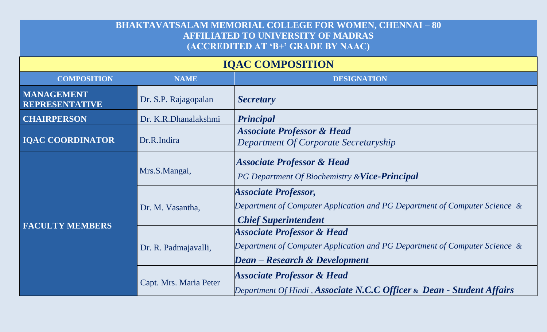## **BHAKTAVATSALAM MEMORIAL COLLEGE FOR WOMEN, CHENNAI – 80 AFFILIATED TO UNIVERSITY OF MADRAS (ACCREDITED AT 'B+' GRADE BY NAAC)**

## **IQAC COMPOSITION**

| <b>COMPOSITION</b>                         | <b>NAME</b>            | <b>DESIGNATION</b>                                                                                                                                          |
|--------------------------------------------|------------------------|-------------------------------------------------------------------------------------------------------------------------------------------------------------|
| <b>MANAGEMENT</b><br><b>REPRESENTATIVE</b> | Dr. S.P. Rajagopalan   | <b>Secretary</b>                                                                                                                                            |
| <b>CHAIRPERSON</b>                         | Dr. K.R.Dhanalakshmi   | <b>Principal</b>                                                                                                                                            |
| <b>IQAC COORDINATOR</b>                    | Dr.R.Indira            | <b>Associate Professor &amp; Head</b><br>Department Of Corporate Secretaryship                                                                              |
| <b>FACULTY MEMBERS</b>                     | Mrs.S.Mangai,          | <b>Associate Professor &amp; Head</b><br>PG Department Of Biochemistry & Vice-Principal                                                                     |
|                                            | Dr. M. Vasantha,       | <b>Associate Professor,</b><br>Department of Computer Application and PG Department of Computer Science &<br><b>Chief Superintendent</b>                    |
|                                            | Dr. R. Padmajavalli,   | <b>Associate Professor &amp; Head</b><br>Department of Computer Application and PG Department of Computer Science &<br><b>Dean</b> – Research & Development |
|                                            | Capt. Mrs. Maria Peter | <b>Associate Professor &amp; Head</b><br>Department Of Hindi, Associate N.C.C Officer & Dean - Student Affairs                                              |